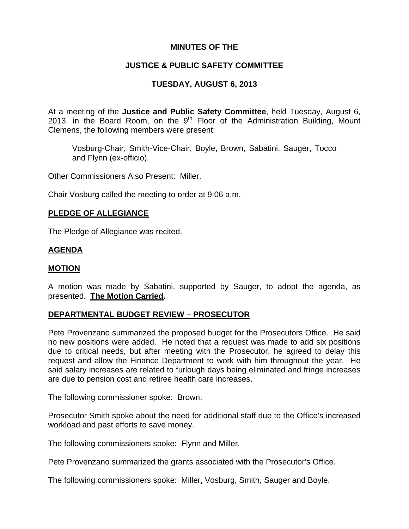### **MINUTES OF THE**

### **JUSTICE & PUBLIC SAFETY COMMITTEE**

## **TUESDAY, AUGUST 6, 2013**

At a meeting of the **Justice and Public Safety Committee**, held Tuesday, August 6, 2013, in the Board Room, on the  $9<sup>th</sup>$  Floor of the Administration Building, Mount Clemens, the following members were present:

Vosburg-Chair, Smith-Vice-Chair, Boyle, Brown, Sabatini, Sauger, Tocco and Flynn (ex-officio).

Other Commissioners Also Present: Miller.

Chair Vosburg called the meeting to order at 9:06 a.m.

### **PLEDGE OF ALLEGIANCE**

The Pledge of Allegiance was recited.

### **AGENDA**

### **MOTION**

A motion was made by Sabatini, supported by Sauger, to adopt the agenda, as presented. **The Motion Carried.** 

### **DEPARTMENTAL BUDGET REVIEW – PROSECUTOR**

Pete Provenzano summarized the proposed budget for the Prosecutors Office. He said no new positions were added. He noted that a request was made to add six positions due to critical needs, but after meeting with the Prosecutor, he agreed to delay this request and allow the Finance Department to work with him throughout the year. He said salary increases are related to furlough days being eliminated and fringe increases are due to pension cost and retiree health care increases.

The following commissioner spoke: Brown.

Prosecutor Smith spoke about the need for additional staff due to the Office's increased workload and past efforts to save money.

The following commissioners spoke: Flynn and Miller.

Pete Provenzano summarized the grants associated with the Prosecutor's Office.

The following commissioners spoke: Miller, Vosburg, Smith, Sauger and Boyle.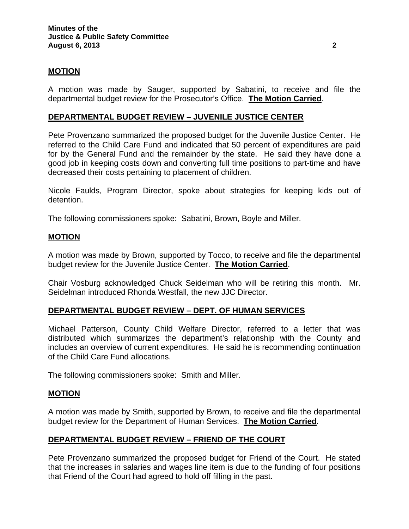### **MOTION**

A motion was made by Sauger, supported by Sabatini, to receive and file the departmental budget review for the Prosecutor's Office. **The Motion Carried**.

### **DEPARTMENTAL BUDGET REVIEW – JUVENILE JUSTICE CENTER**

Pete Provenzano summarized the proposed budget for the Juvenile Justice Center. He referred to the Child Care Fund and indicated that 50 percent of expenditures are paid for by the General Fund and the remainder by the state. He said they have done a good job in keeping costs down and converting full time positions to part-time and have decreased their costs pertaining to placement of children.

Nicole Faulds, Program Director, spoke about strategies for keeping kids out of detention.

The following commissioners spoke: Sabatini, Brown, Boyle and Miller.

### **MOTION**

A motion was made by Brown, supported by Tocco, to receive and file the departmental budget review for the Juvenile Justice Center. **The Motion Carried**.

Chair Vosburg acknowledged Chuck Seidelman who will be retiring this month. Mr. Seidelman introduced Rhonda Westfall, the new JJC Director.

### **DEPARTMENTAL BUDGET REVIEW – DEPT. OF HUMAN SERVICES**

Michael Patterson, County Child Welfare Director, referred to a letter that was distributed which summarizes the department's relationship with the County and includes an overview of current expenditures. He said he is recommending continuation of the Child Care Fund allocations.

The following commissioners spoke: Smith and Miller.

#### **MOTION**

A motion was made by Smith, supported by Brown, to receive and file the departmental budget review for the Department of Human Services. **The Motion Carried**.

### **DEPARTMENTAL BUDGET REVIEW – FRIEND OF THE COURT**

Pete Provenzano summarized the proposed budget for Friend of the Court. He stated that the increases in salaries and wages line item is due to the funding of four positions that Friend of the Court had agreed to hold off filling in the past.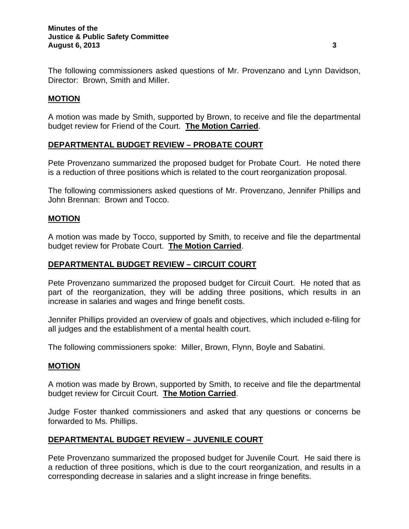The following commissioners asked questions of Mr. Provenzano and Lynn Davidson, Director: Brown, Smith and Miller.

## **MOTION**

A motion was made by Smith, supported by Brown, to receive and file the departmental budget review for Friend of the Court. **The Motion Carried**.

# **DEPARTMENTAL BUDGET REVIEW – PROBATE COURT**

Pete Provenzano summarized the proposed budget for Probate Court. He noted there is a reduction of three positions which is related to the court reorganization proposal.

The following commissioners asked questions of Mr. Provenzano, Jennifer Phillips and John Brennan: Brown and Tocco.

### **MOTION**

A motion was made by Tocco, supported by Smith, to receive and file the departmental budget review for Probate Court. **The Motion Carried**.

### **DEPARTMENTAL BUDGET REVIEW – CIRCUIT COURT**

Pete Provenzano summarized the proposed budget for Circuit Court. He noted that as part of the reorganization, they will be adding three positions, which results in an increase in salaries and wages and fringe benefit costs.

Jennifer Phillips provided an overview of goals and objectives, which included e-filing for all judges and the establishment of a mental health court.

The following commissioners spoke: Miller, Brown, Flynn, Boyle and Sabatini.

### **MOTION**

A motion was made by Brown, supported by Smith, to receive and file the departmental budget review for Circuit Court. **The Motion Carried**.

Judge Foster thanked commissioners and asked that any questions or concerns be forwarded to Ms. Phillips.

### **DEPARTMENTAL BUDGET REVIEW – JUVENILE COURT**

Pete Provenzano summarized the proposed budget for Juvenile Court. He said there is a reduction of three positions, which is due to the court reorganization, and results in a corresponding decrease in salaries and a slight increase in fringe benefits.